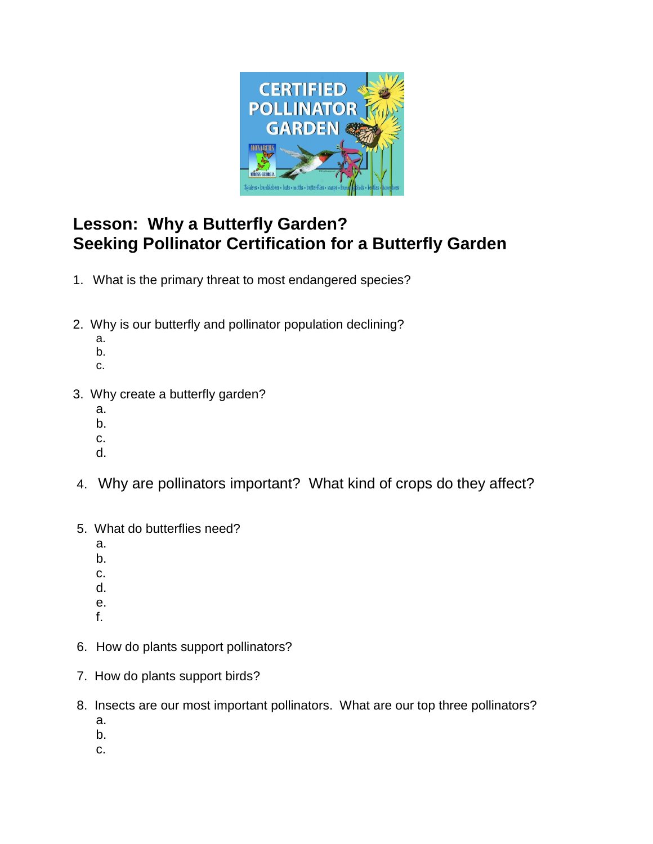

## **Lesson: Why a Butterfly Garden? Seeking Pollinator Certification for a Butterfly Garden**

- 1.What is the primary threat to most endangered species?
- 2. Why is our butterfly and pollinator population declining?
	- a.
	- b. c.
- 3. Why create a butterfly garden?
	- a.
	- b.
	- c.
	- d.
- 4. Why are pollinators important? What kind of crops do they affect?
- 5. What do butterflies need?
	- a.
	- b.
	- c. d.
	- e.
	- f.
- 6. How do plants support pollinators?
- 7. How do plants support birds?
- 8. Insects are our most important pollinators. What are our top three pollinators? a.
	- b.
	- c.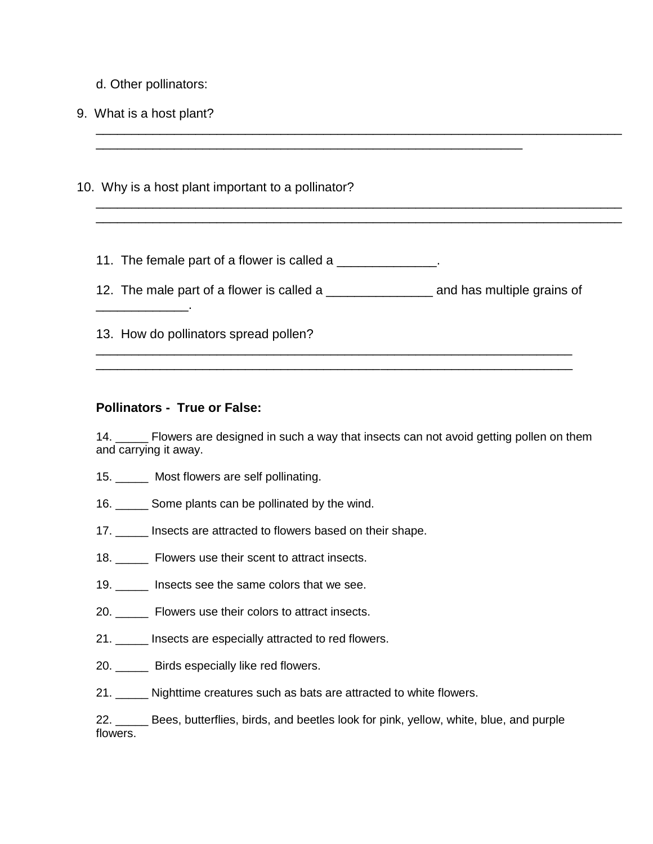- d. Other pollinators:
- 9. What is a host plant?

\_\_\_\_\_\_\_\_\_\_\_\_\_.

10. Why is a host plant important to a pollinator?

11. The female part of a flower is called a \_\_\_\_\_\_\_\_\_\_\_\_\_\_.

12. The male part of a flower is called a \_\_\_\_\_\_\_\_\_\_\_\_\_\_\_ and has multiple grains of

\_\_\_\_\_\_\_\_\_\_\_\_\_\_\_\_\_\_\_\_\_\_\_\_\_\_\_\_\_\_\_\_\_\_\_\_\_\_\_\_\_\_\_\_\_\_\_\_\_\_\_\_\_\_\_\_\_\_\_\_\_\_\_\_\_\_\_ \_\_\_\_\_\_\_\_\_\_\_\_\_\_\_\_\_\_\_\_\_\_\_\_\_\_\_\_\_\_\_\_\_\_\_\_\_\_\_\_\_\_\_\_\_\_\_\_\_\_\_\_\_\_\_\_\_\_\_\_\_\_\_\_\_\_\_

\_\_\_\_\_\_\_\_\_\_\_\_\_\_\_\_\_\_\_\_\_\_\_\_\_\_\_\_\_\_\_\_\_\_\_\_\_\_\_\_\_\_\_\_\_\_\_\_\_\_\_\_\_\_\_\_\_\_\_\_\_\_\_\_\_\_\_\_\_\_\_\_\_\_

\_\_\_\_\_\_\_\_\_\_\_\_\_\_\_\_\_\_\_\_\_\_\_\_\_\_\_\_\_\_\_\_\_\_\_\_\_\_\_\_\_\_\_\_\_\_\_\_\_\_\_\_\_\_\_\_\_\_\_\_\_\_\_\_\_\_\_\_\_\_\_\_\_\_ \_\_\_\_\_\_\_\_\_\_\_\_\_\_\_\_\_\_\_\_\_\_\_\_\_\_\_\_\_\_\_\_\_\_\_\_\_\_\_\_\_\_\_\_\_\_\_\_\_\_\_\_\_\_\_\_\_\_\_\_\_\_\_\_\_\_\_\_\_\_\_\_\_\_

\_\_\_\_\_\_\_\_\_\_\_\_\_\_\_\_\_\_\_\_\_\_\_\_\_\_\_\_\_\_\_\_\_\_\_\_\_\_\_\_\_\_\_\_\_\_\_\_\_\_\_\_\_\_\_\_\_\_\_\_

13. How do pollinators spread pollen?

#### **Pollinators - True or False:**

14. \_\_\_\_\_\_ Flowers are designed in such a way that insects can not avoid getting pollen on them and carrying it away.

- 15. Most flowers are self pollinating.
- 16. \_\_\_\_\_ Some plants can be pollinated by the wind.
- 17. **Insects are attracted to flowers based on their shape.**
- 18. **Example 18** Flowers use their scent to attract insects.
- 19. \_\_\_\_\_ Insects see the same colors that we see.
- 20. \_\_\_\_\_ Flowers use their colors to attract insects.
- 21. Insects are especially attracted to red flowers.
- 20. **Birds especially like red flowers.**
- 21. Nighttime creatures such as bats are attracted to white flowers.

22. \_\_\_\_\_ Bees, butterflies, birds, and beetles look for pink, yellow, white, blue, and purple flowers.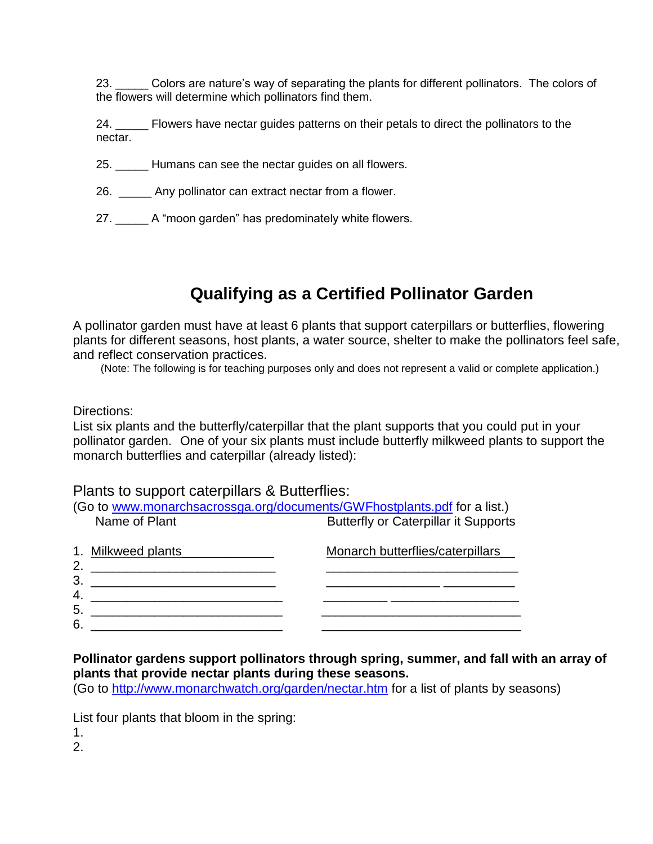23. Colors are nature's way of separating the plants for different pollinators. The colors of the flowers will determine which pollinators find them.

24. \_\_\_\_\_ Flowers have nectar guides patterns on their petals to direct the pollinators to the nectar.

- 25. \_\_\_\_\_ Humans can see the nectar guides on all flowers.
- 26. \_\_\_\_\_ Any pollinator can extract nectar from a flower.
- 27. A "moon garden" has predominately white flowers.

# **Qualifying as a Certified Pollinator Garden**

A pollinator garden must have at least 6 plants that support caterpillars or butterflies, flowering plants for different seasons, host plants, a water source, shelter to make the pollinators feel safe, and reflect conservation practices.

(Note: The following is for teaching purposes only and does not represent a valid or complete application.)

Directions:

List six plants and the butterfly/caterpillar that the plant supports that you could put in your pollinator garden. One of your six plants must include butterfly milkweed plants to support the monarch butterflies and caterpillar (already listed):

#### Plants to support caterpillars & Butterflies:

|                          | (Go to www.monarchsacrossga.org/documents/GWFhostplants.pdf for a list.) |
|--------------------------|--------------------------------------------------------------------------|
| Name of Plant            | <b>Butterfly or Caterpillar it Supports</b>                              |
| 1. Milkweed plants<br>2. | Monarch butterflies/caterpillars                                         |
| 3                        |                                                                          |
| 4.<br>5.                 |                                                                          |
| 6.                       |                                                                          |

### **Pollinator gardens support pollinators through spring, summer, and fall with an array of plants that provide nectar plants during these seasons.**

(Go to<http://www.monarchwatch.org/garden/nectar.htm> for a list of plants by seasons)

List four plants that bloom in the spring:

1.

2.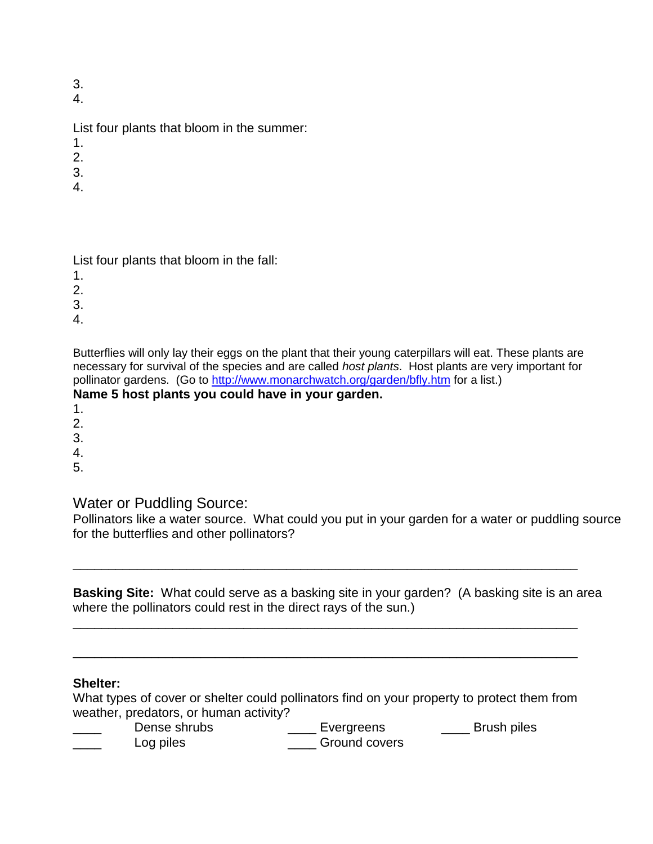3.

4.

List four plants that bloom in the summer:

- 1.
- 2.
- 3.
- 4.

List four plants that bloom in the fall:

1.

2.

3.

4.

Butterflies will only lay their eggs on the plant that their young caterpillars will eat. These plants are necessary for survival of the species and are called *host plants*. Host plants are very important for pollinator gardens. (Go to<http://www.monarchwatch.org/garden/bfly.htm> for a list.)

## **Name 5 host plants you could have in your garden.**

- 1.
- 2.
- 3.
- 4.
- 5.

## Water or Puddling Source:

Pollinators like a water source. What could you put in your garden for a water or puddling source for the butterflies and other pollinators?

**Basking Site:** What could serve as a basking site in your garden? (A basking site is an area where the pollinators could rest in the direct rays of the sun.) \_\_\_\_\_\_\_\_\_\_\_\_\_\_\_\_\_\_\_\_\_\_\_\_\_\_\_\_\_\_\_\_\_\_\_\_\_\_\_\_\_\_\_\_\_\_\_\_\_\_\_\_\_\_\_\_\_\_\_\_\_\_\_\_\_\_\_\_\_\_\_

\_\_\_\_\_\_\_\_\_\_\_\_\_\_\_\_\_\_\_\_\_\_\_\_\_\_\_\_\_\_\_\_\_\_\_\_\_\_\_\_\_\_\_\_\_\_\_\_\_\_\_\_\_\_\_\_\_\_\_\_\_\_\_\_\_\_\_\_\_\_\_

### **Shelter:**

What types of cover or shelter could pollinators find on your property to protect them from weather, predators, or human activity?

\_\_\_\_\_\_\_\_\_\_\_\_\_\_\_\_\_\_\_\_\_\_\_\_\_\_\_\_\_\_\_\_\_\_\_\_\_\_\_\_\_\_\_\_\_\_\_\_\_\_\_\_\_\_\_\_\_\_\_\_\_\_\_\_\_\_\_\_\_\_\_

| Dense shrubs | Evergreens    | <b>Brush piles</b> |
|--------------|---------------|--------------------|
| Log piles    | Ground covers |                    |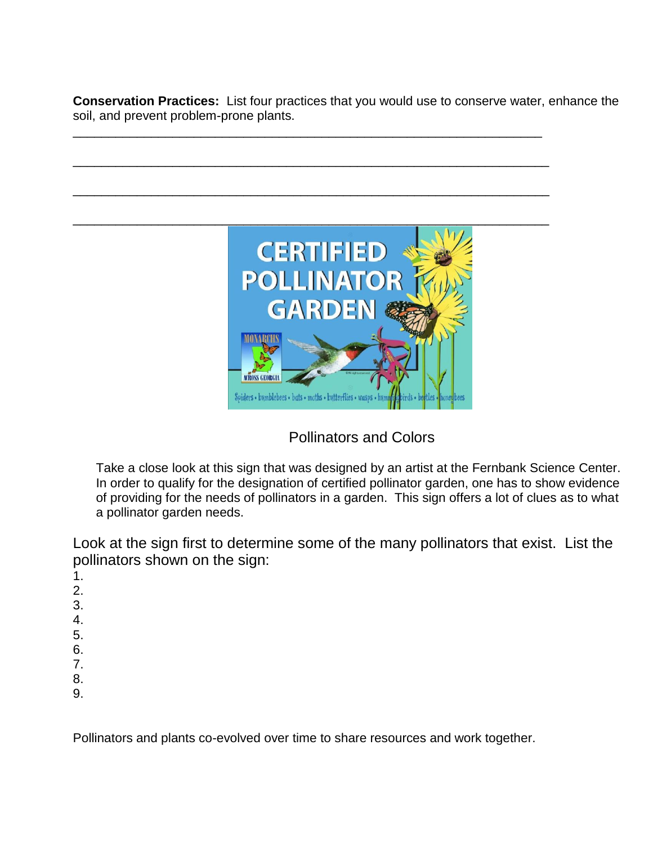**Conservation Practices:** List four practices that you would use to conserve water, enhance the soil, and prevent problem-prone plants.

\_\_\_\_\_\_\_\_\_\_\_\_\_\_\_\_\_\_\_\_\_\_\_\_\_\_\_\_\_\_\_\_\_\_\_\_\_\_\_\_\_\_\_\_\_\_\_\_\_\_\_\_\_\_\_\_\_\_\_\_\_\_\_\_\_\_

\_\_\_\_\_\_\_\_\_\_\_\_\_\_\_\_\_\_\_\_\_\_\_\_\_\_\_\_\_\_\_\_\_\_\_\_\_\_\_\_\_\_\_\_\_\_\_\_\_\_\_\_\_\_\_\_\_\_\_\_\_\_\_\_\_\_\_

\_\_\_\_\_\_\_\_\_\_\_\_\_\_\_\_\_\_\_\_\_\_\_\_\_\_\_\_\_\_\_\_\_\_\_\_\_\_\_\_\_\_\_\_\_\_\_\_\_\_\_\_\_\_\_\_\_\_\_\_\_\_\_\_\_\_\_



Pollinators and Colors

Take a close look at this sign that was designed by an artist at the Fernbank Science Center. In order to qualify for the designation of certified pollinator garden, one has to show evidence of providing for the needs of pollinators in a garden. This sign offers a lot of clues as to what a pollinator garden needs.

Look at the sign first to determine some of the many pollinators that exist. List the pollinators shown on the sign:

- 1. 2. 3. 4. 5. 6. 7.
- 8. 9.
- 

Pollinators and plants co-evolved over time to share resources and work together.